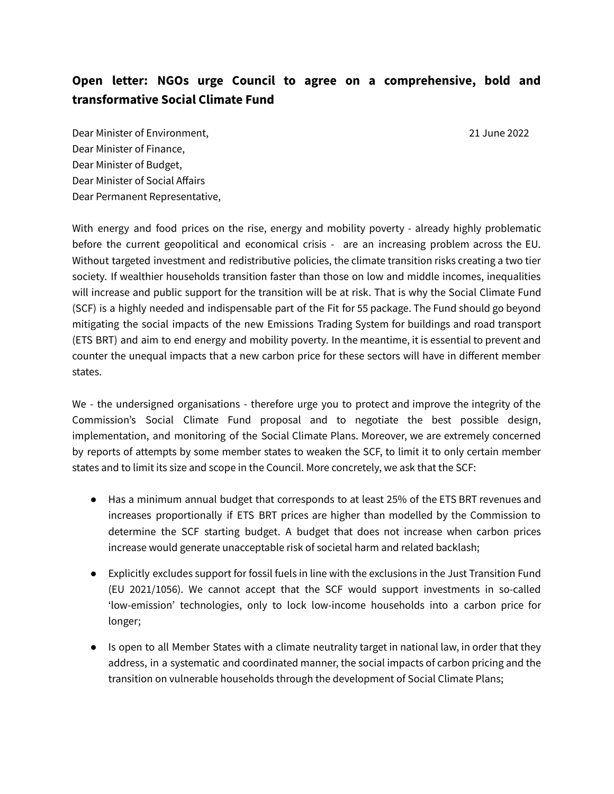## **Open letter: NGOs urge Council to agree on a comprehensive, bold and transformative Social Climate Fund**

Dear Minister of Environment, 21 June 2022 Dear Minister of Finance, Dear Minister of Budget, Dear Minister of Social Affairs Dear Permanent Representative,

With energy and food prices on the rise, energy and mobility poverty - already highly problematic before the current geopolitical and economical crisis - are an increasing problem across the EU. Without targeted investment and redistributive policies, the climate transition risks creating a two tier society. If wealthier households transition faster than those on low and middle incomes, inequalities will increase and public support for the transition will be at risk. That is why the Social Climate Fund (SCF) is a highly needed and indispensable part of the Fit for 55 package. The Fund should go beyond mitigating the social impacts of the new Emissions Trading System for buildings and road transport (ETS BRT) and aim to end energy and mobility poverty. In the meantime, it is essential to prevent and counter the unequal impacts that a new carbon price for these sectors will have in different member states.

We - the undersigned organisations - therefore urge you to protect and improve the integrity of the Commission's Social Climate Fund proposal and to negotiate the best possible design, implementation, and monitoring of the Social Climate Plans. Moreover, we are extremely concerned by reports of attempts by some member states to weaken the SCF, to limit it to only certain member states and to limit its size and scope in the Council. More concretely, we ask that the SCF:

- Has a minimum annual budget that corresponds to at least 25% of the ETS BRT revenues and increases proportionally if ETS BRT prices are higher than modelled by the Commission to determine the SCF starting budget. A budget that does not increase when carbon prices increase would generate unacceptable risk of societal harm and related backlash;
- Explicitly excludes support for fossil fuels in line with the exclusions in the Just Transition Fund (EU 2021/1056). We cannot accept that the SCF would support investments in so-called 'low-emission' technologies, only to lock low-income households into a carbon price for longer;
- Is open to all Member States with a climate neutrality target in national law, in order that they address, in a systematic and coordinated manner, the social impacts of carbon pricing and the transition on vulnerable households through the development of Social Climate Plans;